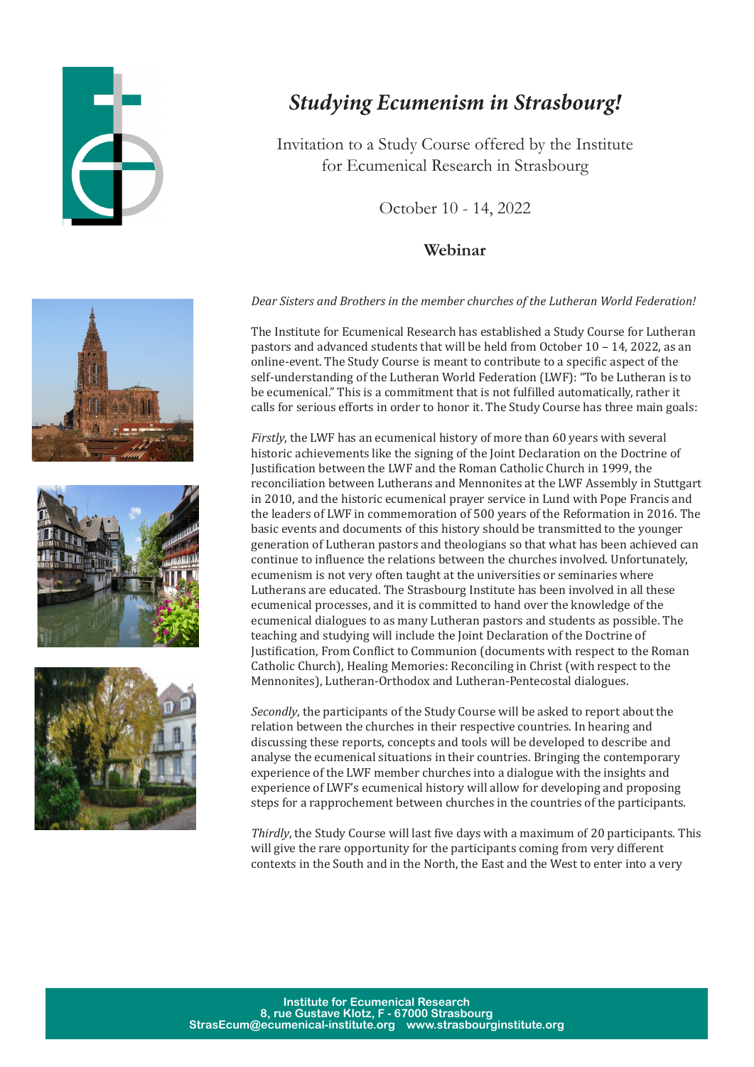

## *Studying Ecumenism in Strasbourg!*

Invitation to a Study Course offered by the Institute for Ecumenical Research in Strasbourg

October 10 - 14, 2022

## **Webinar**

Dear Sisters and Brothers in the member churches of the Lutheran World Federation!

The Institute for Ecumenical Research has established a Study Course for Lutheran pastors and advanced students that will be held from October  $10 - 14$ , 2022, as an online-event. The Study Course is meant to contribute to a specific aspect of the self-understanding of the Lutheran World Federation (LWF): "To be Lutheran is to be ecumenical." This is a commitment that is not fulfilled automatically, rather it calls for serious efforts in order to honor it. The Study Course has three main goals:

Firstly, the LWF has an ecumenical history of more than 60 years with several historic achievements like the signing of the Joint Declaration on the Doctrine of Iustification between the LWF and the Roman Catholic Church in 1999, the reconciliation between Lutherans and Mennonites at the LWF Assembly in Stuttgart in 2010, and the historic ecumenical prayer service in Lund with Pope Francis and the leaders of LWF in commemoration of 500 years of the Reformation in 2016. The basic events and documents of this history should be transmitted to the younger generation of Lutheran pastors and theologians so that what has been achieved can continue to influence the relations between the churches involved. Unfortunately, ecumenism is not very often taught at the universities or seminaries where Lutherans are educated. The Strasbourg Institute has been involved in all these ecumenical processes, and it is committed to hand over the knowledge of the ecumenical dialogues to as many Lutheran pastors and students as possible. The teaching and studying will include the Joint Declaration of the Doctrine of Justification, From Conflict to Communion (documents with respect to the Roman Catholic Church), Healing Memories: Reconciling in Christ (with respect to the Mennonites), Lutheran-Orthodox and Lutheran-Pentecostal dialogues.

Secondly, the participants of the Study Course will be asked to report about the relation between the churches in their respective countries. In hearing and discussing these reports, concepts and tools will be developed to describe and analyse the ecumenical situations in their countries. Bringing the contemporary experience of the LWF member churches into a dialogue with the insights and experience of LWF's ecumenical history will allow for developing and proposing steps for a rapprochement between churches in the countries of the participants.

Thirdly, the Study Course will last five days with a maximum of 20 participants. This will give the rare opportunity for the participants coming from very different contexts in the South and in the North, the East and the West to enter into a very